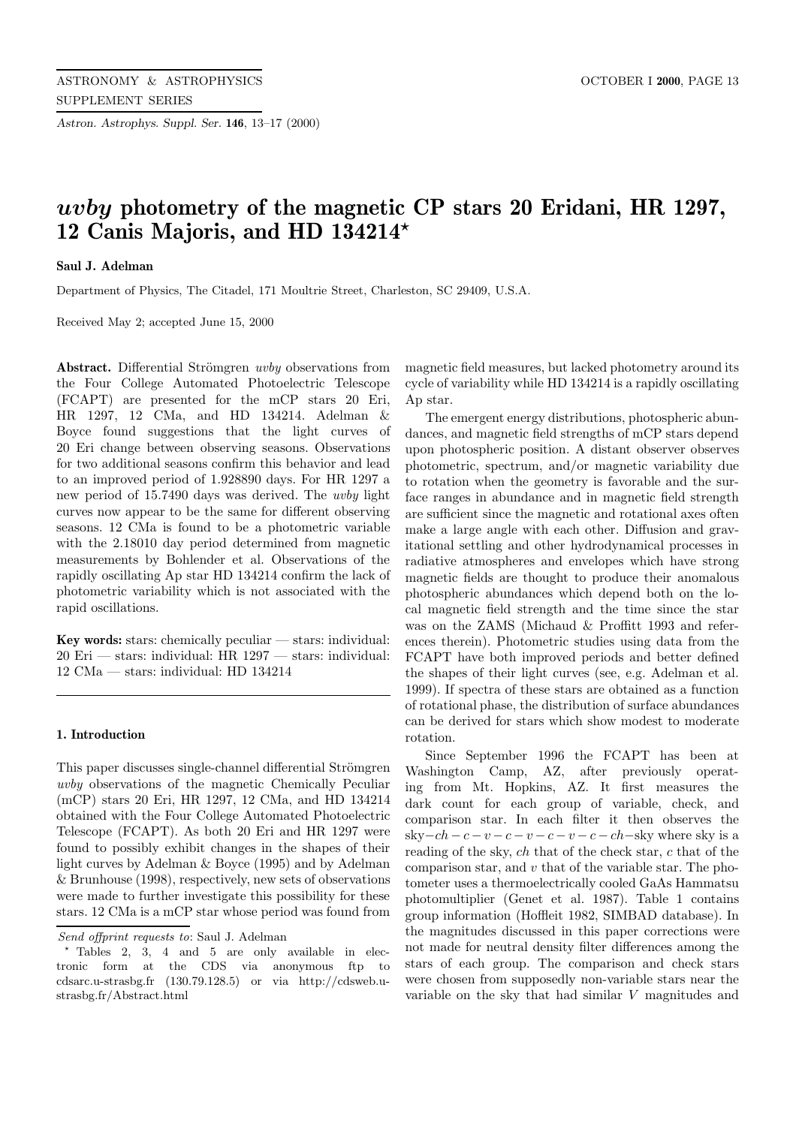*Astron. Astrophys. Suppl. Ser.* **146**, 13–17 (2000)

# *uvby* **photometry of the magnetic CP stars 20 Eridani, HR 1297, 12 Canis Majoris, and HD 134214***?*

## **Saul J. Adelman**

Department of Physics, The Citadel, 171 Moultrie Street, Charleston, SC 29409, U.S.A.

Received May 2; accepted June 15, 2000

**Abstract.** Differential Strömgren *uvby* observations from the Four College Automated Photoelectric Telescope (FCAPT) are presented for the mCP stars 20 Eri, HR 1297, 12 CMa, and HD 134214. Adelman & Boyce found suggestions that the light curves of 20 Eri change between observing seasons. Observations for two additional seasons confirm this behavior and lead to an improved period of 1.928890 days. For HR 1297 a new period of 15.7490 days was derived. The uvby light curves now appear to be the same for different observing seasons. 12 CMa is found to be a photometric variable with the 2.18010 day period determined from magnetic measurements by Bohlender et al. Observations of the rapidly oscillating Ap star HD 134214 confirm the lack of photometric variability which is not associated with the rapid oscillations.

**Key words:** stars: chemically peculiar — stars: individual: 20 Eri — stars: individual: HR 1297 — stars: individual: 12 CMa — stars: individual: HD 134214

#### **1. Introduction**

This paper discusses single-channel differential Strömgren uvby observations of the magnetic Chemically Peculiar (mCP) stars 20 Eri, HR 1297, 12 CMa, and HD 134214 obtained with the Four College Automated Photoelectric Telescope (FCAPT). As both 20 Eri and HR 1297 were found to possibly exhibit changes in the shapes of their light curves by Adelman & Boyce (1995) and by Adelman & Brunhouse (1998), respectively, new sets of observations were made to further investigate this possibility for these stars. 12 CMa is a mCP star whose period was found from

magnetic field measures, but lacked photometry around its cycle of variability while HD 134214 is a rapidly oscillating Ap star.

The emergent energy distributions, photospheric abundances, and magnetic field strengths of mCP stars depend upon photospheric position. A distant observer observes photometric, spectrum, and/or magnetic variability due to rotation when the geometry is favorable and the surface ranges in abundance and in magnetic field strength are sufficient since the magnetic and rotational axes often make a large angle with each other. Diffusion and gravitational settling and other hydrodynamical processes in radiative atmospheres and envelopes which have strong magnetic fields are thought to produce their anomalous photospheric abundances which depend both on the local magnetic field strength and the time since the star was on the ZAMS (Michaud & Proffitt 1993 and references therein). Photometric studies using data from the FCAPT have both improved periods and better defined the shapes of their light curves (see, e.g. Adelman et al. 1999). If spectra of these stars are obtained as a function of rotational phase, the distribution of surface abundances can be derived for stars which show modest to moderate rotation.

Since September 1996 the FCAPT has been at Washington Camp, AZ, after previously operating from Mt. Hopkins, AZ. It first measures the dark count for each group of variable, check, and comparison star. In each filter it then observes the sky $-ch - c - v - c - v - c - v - ch$  – sky where sky is a reading of the sky, ch that of the check star, c that of the comparison star, and  $v$  that of the variable star. The photometer uses a thermoelectrically cooled GaAs Hammatsu photomultiplier (Genet et al. 1987). Table 1 contains group information (Hoffleit 1982, SIMBAD database). In the magnitudes discussed in this paper corrections were not made for neutral density filter differences among the stars of each group. The comparison and check stars were chosen from supposedly non-variable stars near the variable on the sky that had similar V magnitudes and

Send offprint requests to: Saul J. Adelman

 $*$  Tables 2, 3, 4 and 5 are only available in electronic form at the CDS via anonymous ftp to cdsarc.u-strasbg.fr (130.79.128.5) or via http://cdsweb.ustrasbg.fr/Abstract.html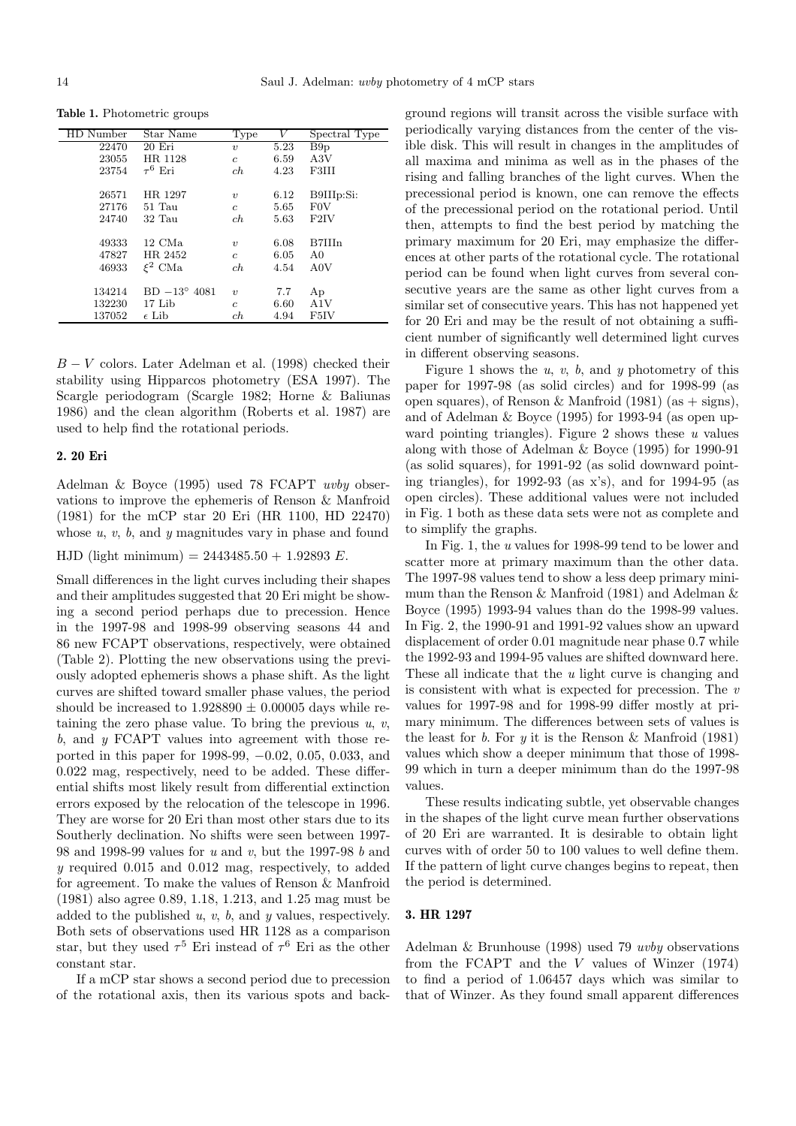**Table 1.** Photometric groups

| HD Number | Star Name             | Type                | V    | Spectral Type  |
|-----------|-----------------------|---------------------|------|----------------|
| 22470     | 20 Eri                | $\boldsymbol{\eta}$ | 5.23 | B9p            |
| 23055     | HR 1128               | $\overline{c}$      | 6.59 | A3V            |
| 23754     | $\tau^6$ Eri          | ch                  | 4.23 | F3III          |
|           |                       |                     |      |                |
| 26571     | HR 1297               | $\boldsymbol{\eta}$ | 6.12 | B9IIIp:Si:     |
| 27176     | $51$ Tau              | $\overline{c}$      | 5.65 | <b>FOV</b>     |
| 24740     | $32$ Tau              | ch                  | 5.63 | F2IV           |
|           |                       |                     |      |                |
| 49333     | $12 \text{ CMa}$      | $\boldsymbol{\eta}$ | 6.08 | B7IIIn         |
| 47827     | HR 2452               | $\overline{c}$      | 6.05 | A <sub>0</sub> |
| 46933     | $\xi^2$ CMa           | ch                  | 4.54 | A0V            |
|           |                       |                     |      |                |
| 134214    | $BD -13^{\circ} 4081$ | $\boldsymbol{\eta}$ | 7.7  | Ap             |
| 132230    | 17 Lib                | c                   | 6.60 | A1V            |
| 137052    | $\epsilon$ Lib        | ch                  | 4.94 | F5IV           |

 $B - V$  colors. Later Adelman et al. (1998) checked their stability using Hipparcos photometry (ESA 1997). The Scargle periodogram (Scargle 1982; Horne & Baliunas 1986) and the clean algorithm (Roberts et al. 1987) are used to help find the rotational periods.

#### **2. 20 Eri**

Adelman & Boyce (1995) used 78 FCAPT uvby observations to improve the ephemeris of Renson & Manfroid (1981) for the mCP star 20 Eri (HR 1100, HD 22470) whose  $u, v, b$ , and  $y$  magnitudes vary in phase and found

HJD (light minimum) =  $2443485.50 + 1.92893 E$ .

Small differences in the light curves including their shapes and their amplitudes suggested that 20 Eri might be showing a second period perhaps due to precession. Hence in the 1997-98 and 1998-99 observing seasons 44 and 86 new FCAPT observations, respectively, were obtained (Table 2). Plotting the new observations using the previously adopted ephemeris shows a phase shift. As the light curves are shifted toward smaller phase values, the period should be increased to  $1.928890 \pm 0.00005$  days while retaining the zero phase value. To bring the previous  $u, v$ , b, and  $\gamma$  FCAPT values into agreement with those reported in this paper for 1998-99, −0.02, 0.05, 0.033, and 0.022 mag, respectively, need to be added. These differential shifts most likely result from differential extinction errors exposed by the relocation of the telescope in 1996. They are worse for 20 Eri than most other stars due to its Southerly declination. No shifts were seen between 1997- 98 and 1998-99 values for u and v, but the 1997-98 b and y required 0.015 and 0.012 mag, respectively, to added for agreement. To make the values of Renson & Manfroid (1981) also agree 0.89, 1.18, 1.213, and 1.25 mag must be added to the published  $u, v, b$ , and  $u$  values, respectively. Both sets of observations used HR 1128 as a comparison star, but they used  $\tau^5$  Eri instead of  $\tau^6$  Eri as the other constant star.

If a mCP star shows a second period due to precession of the rotational axis, then its various spots and background regions will transit across the visible surface with periodically varying distances from the center of the visible disk. This will result in changes in the amplitudes of all maxima and minima as well as in the phases of the rising and falling branches of the light curves. When the precessional period is known, one can remove the effects of the precessional period on the rotational period. Until then, attempts to find the best period by matching the primary maximum for 20 Eri, may emphasize the differences at other parts of the rotational cycle. The rotational period can be found when light curves from several consecutive years are the same as other light curves from a similar set of consecutive years. This has not happened yet for 20 Eri and may be the result of not obtaining a sufficient number of significantly well determined light curves in different observing seasons.

Figure 1 shows the  $u, v, b$ , and  $y$  photometry of this paper for 1997-98 (as solid circles) and for 1998-99 (as open squares), of Renson & Manfroid (1981) (as  $+$  signs), and of Adelman & Boyce (1995) for 1993-94 (as open upward pointing triangles). Figure 2 shows these  $u$  values along with those of Adelman & Boyce (1995) for 1990-91 (as solid squares), for 1991-92 (as solid downward pointing triangles), for 1992-93 (as x's), and for 1994-95 (as open circles). These additional values were not included in Fig. 1 both as these data sets were not as complete and to simplify the graphs.

In Fig. 1, the u values for 1998-99 tend to be lower and scatter more at primary maximum than the other data. The 1997-98 values tend to show a less deep primary minimum than the Renson & Manfroid (1981) and Adelman & Boyce (1995) 1993-94 values than do the 1998-99 values. In Fig. 2, the 1990-91 and 1991-92 values show an upward displacement of order 0.01 magnitude near phase 0.7 while the 1992-93 and 1994-95 values are shifted downward here. These all indicate that the u light curve is changing and is consistent with what is expected for precession. The  $v$ values for 1997-98 and for 1998-99 differ mostly at primary minimum. The differences between sets of values is the least for  $b$ . For  $y$  it is the Renson  $\&$  Manfroid (1981) values which show a deeper minimum that those of 1998- 99 which in turn a deeper minimum than do the 1997-98 values.

These results indicating subtle, yet observable changes in the shapes of the light curve mean further observations of 20 Eri are warranted. It is desirable to obtain light curves with of order 50 to 100 values to well define them. If the pattern of light curve changes begins to repeat, then the period is determined.

### **3. HR 1297**

Adelman & Brunhouse (1998) used 79 uvby observations from the FCAPT and the V values of Winzer (1974) to find a period of 1.06457 days which was similar to that of Winzer. As they found small apparent differences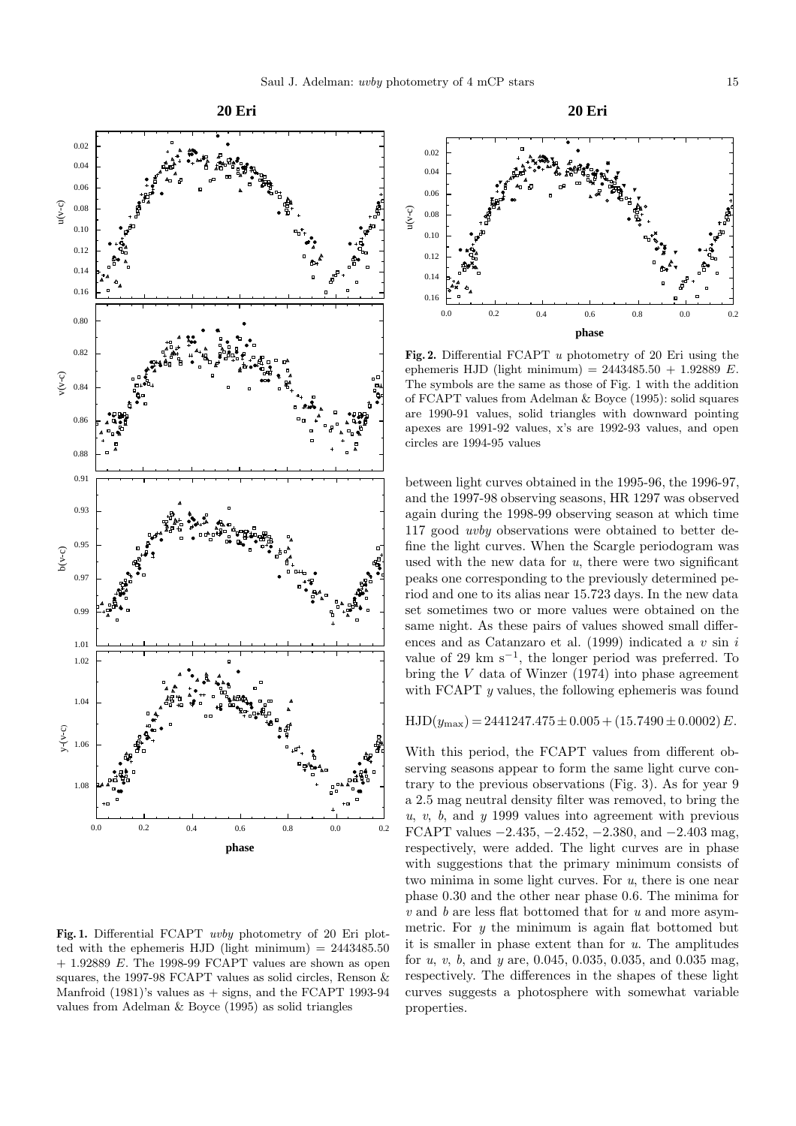

Fig. 1. Differential FCAPT *uvby* photometry of 20 Eri plotted with the ephemeris HJD (light minimum)  $= 2443485.50$  $+$  1.92889 E. The 1998-99 FCAPT values are shown as open squares, the 1997-98 FCAPT values as solid circles, Renson & Manfroid  $(1981)$ 's values as  $+$  signs, and the FCAPT 1993-94 values from Adelman & Boyce (1995) as solid triangles



**Fig. 2.** Differential FCAPT u photometry of 20 Eri using the ephemeris HJD (light minimum) =  $2443485.50 + 1.92889 E$ . The symbols are the same as those of Fig. 1 with the addition of FCAPT values from Adelman & Boyce (1995): solid squares are 1990-91 values, solid triangles with downward pointing apexes are 1991-92 values, x's are 1992-93 values, and open circles are 1994-95 values

between light curves obtained in the 1995-96, the 1996-97, and the 1997-98 observing seasons, HR 1297 was observed again during the 1998-99 observing season at which time 117 good uvby observations were obtained to better define the light curves. When the Scargle periodogram was used with the new data for  $u$ , there were two significant peaks one corresponding to the previously determined period and one to its alias near 15.723 days. In the new data set sometimes two or more values were obtained on the same night. As these pairs of values showed small differences and as Catanzaro et al. (1999) indicated a  $v \sin i$ value of 29 km  $s^{-1}$ , the longer period was preferred. To bring the V data of Winzer (1974) into phase agreement with FCAPT y values, the following ephemeris was found

 $HJD(y_{\text{max}}) = 2441247.475 \pm 0.005 + (15.7490 \pm 0.0002) E.$ 

With this period, the FCAPT values from different observing seasons appear to form the same light curve contrary to the previous observations (Fig. 3). As for year 9 a 2.5 mag neutral density filter was removed, to bring the  $u, v, b$ , and  $y$  1999 values into agreement with previous FCAPT values  $-2.435, -2.452, -2.380, \text{ and } -2.403 \text{ mag}$ , respectively, were added. The light curves are in phase with suggestions that the primary minimum consists of two minima in some light curves. For u, there is one near phase 0.30 and the other near phase 0.6. The minima for  $v$  and  $b$  are less flat bottomed that for  $u$  and more asymmetric. For  $y$  the minimum is again flat bottomed but it is smaller in phase extent than for  $u$ . The amplitudes for u, v, b, and y are,  $0.045, 0.035, 0.035,$  and  $0.035$  mag, respectively. The differences in the shapes of these light curves suggests a photosphere with somewhat variable properties.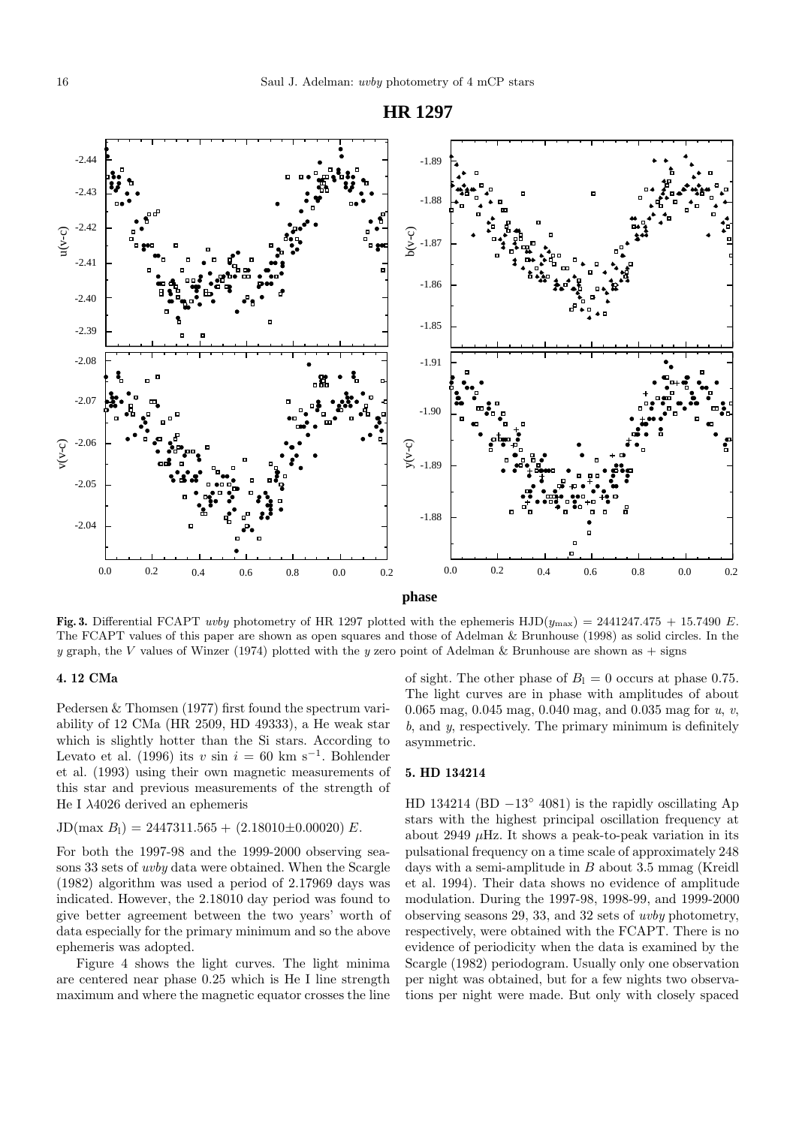

**Fig. 3.** Differential FCAPT uvby photometry of HR 1297 plotted with the ephemeris HJD( $y_{\text{max}}$ ) = 2441247.475 + 15.7490 E. The FCAPT values of this paper are shown as open squares and those of Adelman & Brunhouse (1998) as solid circles. In the y graph, the V values of Winzer (1974) plotted with the y zero point of Adelman & Brunhouse are shown as  $+$  signs

## **4. 12 CMa**

Pedersen & Thomsen (1977) first found the spectrum variability of 12 CMa (HR 2509, HD 49333), a He weak star which is slightly hotter than the Si stars. According to Levato et al. (1996) its v sin  $i = 60$  km s<sup>-1</sup>. Bohlender et al. (1993) using their own magnetic measurements of this star and previous measurements of the strength of He I λ4026 derived an ephemeris

# $JD(max B_1) = 2447311.565 + (2.18010 \pm 0.00020) E.$

For both the 1997-98 and the 1999-2000 observing seasons 33 sets of uvby data were obtained. When the Scargle (1982) algorithm was used a period of 2.17969 days was indicated. However, the 2.18010 day period was found to give better agreement between the two years' worth of data especially for the primary minimum and so the above ephemeris was adopted.

Figure 4 shows the light curves. The light minima are centered near phase 0.25 which is He I line strength maximum and where the magnetic equator crosses the line of sight. The other phase of  $B<sub>l</sub> = 0$  occurs at phase 0.75. The light curves are in phase with amplitudes of about 0.065 mag, 0.045 mag, 0.040 mag, and 0.035 mag for u, v, b, and y, respectively. The primary minimum is definitely asymmetric.

#### **5. HD 134214**

HD 134214 (BD  $-13°$  4081) is the rapidly oscillating Ap stars with the highest principal oscillation frequency at about 2949  $\mu$ Hz. It shows a peak-to-peak variation in its pulsational frequency on a time scale of approximately 248 days with a semi-amplitude in  $B$  about 3.5 mmag (Kreidl) et al. 1994). Their data shows no evidence of amplitude modulation. During the 1997-98, 1998-99, and 1999-2000 observing seasons 29, 33, and 32 sets of uvby photometry, respectively, were obtained with the FCAPT. There is no evidence of periodicity when the data is examined by the Scargle (1982) periodogram. Usually only one observation per night was obtained, but for a few nights two observations per night were made. But only with closely spaced